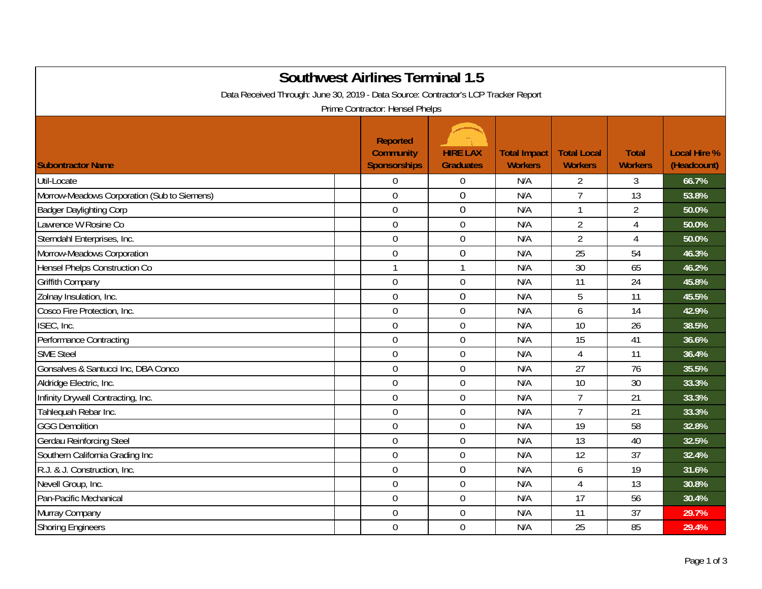| <b>Southwest Airlines Terminal 1.5</b><br>Data Received Through: June 30, 2019 - Data Source: Contractor's LCP Tracker Report<br>Prime Contractor: Hensel Phelps |                                                            |                                     |                                       |                                      |                                |                                    |  |  |
|------------------------------------------------------------------------------------------------------------------------------------------------------------------|------------------------------------------------------------|-------------------------------------|---------------------------------------|--------------------------------------|--------------------------------|------------------------------------|--|--|
| <b>Subontractor Name</b>                                                                                                                                         | <b>Reported</b><br><b>Community</b><br><b>Sponsorships</b> | <b>HIRE LAX</b><br><b>Graduates</b> | <b>Total Impact</b><br><b>Workers</b> | <b>Total Local</b><br><b>Workers</b> | <b>Total</b><br><b>Workers</b> | <b>Local Hire %</b><br>(Headcount) |  |  |
| Util-Locate                                                                                                                                                      | $\overline{0}$                                             | $\boldsymbol{0}$                    | N/A                                   | $\overline{2}$                       | 3                              | 66.7%                              |  |  |
| Morrow-Meadows Corporation (Sub to Siemens)                                                                                                                      | $\overline{0}$                                             | $\mathbf 0$                         | N/A                                   | $\overline{7}$                       | 13                             | 53.8%                              |  |  |
| <b>Badger Daylighting Corp</b>                                                                                                                                   | $\mathbf 0$                                                | $\boldsymbol{0}$                    | N/A                                   | $\mathbf{1}$                         | $\overline{2}$                 | 50.0%                              |  |  |
| Lawrence W Rosine Co                                                                                                                                             | $\mathbf 0$                                                | $\boldsymbol{0}$                    | N/A                                   | $\overline{2}$                       | 4                              | 50.0%                              |  |  |
| Sterndahl Enterprises, Inc.                                                                                                                                      | $\mathbf 0$                                                | $\mathbf 0$                         | N/A                                   | $\overline{2}$                       | 4                              | 50.0%                              |  |  |
| Morrow-Meadows Corporation                                                                                                                                       | $\mathbf 0$                                                | $\boldsymbol{0}$                    | N/A                                   | 25                                   | 54                             | 46.3%                              |  |  |
| <b>Hensel Phelps Construction Co</b>                                                                                                                             | $\mathbf{1}$                                               | $\mathbf{1}$                        | N/A                                   | 30                                   | 65                             | 46.2%                              |  |  |
| Griffith Company                                                                                                                                                 | $\mathbf 0$                                                | $\boldsymbol{0}$                    | N/A                                   | 11                                   | 24                             | 45.8%                              |  |  |
| Zolnay Insulation, Inc.                                                                                                                                          | $\overline{0}$                                             | $\mathbf 0$                         | N/A                                   | 5                                    | 11                             | 45.5%                              |  |  |
| Cosco Fire Protection, Inc.                                                                                                                                      | $\mathbf 0$                                                | $\mathbf 0$                         | N/A                                   | 6                                    | 14                             | 42.9%                              |  |  |
| ISEC, Inc.                                                                                                                                                       | $\overline{0}$                                             | $\mathbf 0$                         | N/A                                   | 10                                   | 26                             | 38.5%                              |  |  |
| Performance Contracting                                                                                                                                          | $\mathbf 0$                                                | $\mathbf 0$                         | N/A                                   | 15                                   | 41                             | 36.6%                              |  |  |
| <b>SME Steel</b>                                                                                                                                                 | $\overline{0}$                                             | $\mathbf 0$                         | N/A                                   | $\overline{4}$                       | 11                             | 36.4%                              |  |  |
| Gonsalves & Santucci Inc, DBA Conco                                                                                                                              | $\mathbf 0$                                                | $\boldsymbol{0}$                    | N/A                                   | 27                                   | 76                             | 35.5%                              |  |  |
| Aldridge Electric, Inc.                                                                                                                                          | $\overline{0}$                                             | $\mathbf 0$                         | N/A                                   | 10                                   | 30                             | 33.3%                              |  |  |
| Infinity Drywall Contracting, Inc.                                                                                                                               | $\mathbf 0$                                                | $\mathbf 0$                         | N/A                                   | $\overline{7}$                       | 21                             | 33.3%                              |  |  |
| Tahlequah Rebar Inc.                                                                                                                                             | $\overline{0}$                                             | $\boldsymbol{0}$                    | N/A                                   | $\overline{7}$                       | 21                             | 33.3%                              |  |  |
| <b>GGG Demolition</b>                                                                                                                                            | $\mathbf 0$                                                | $\mathbf 0$                         | N/A                                   | 19                                   | 58                             | 32.8%                              |  |  |
| Gerdau Reinforcing Steel                                                                                                                                         | $\overline{0}$                                             | $\boldsymbol{0}$                    | N/A                                   | 13                                   | 40                             | 32.5%                              |  |  |
| Southern California Grading Inc                                                                                                                                  | $\overline{0}$                                             | $\mathbf 0$                         | N/A                                   | 12                                   | 37                             | 32.4%                              |  |  |
| R.J. & J. Construction, Inc.                                                                                                                                     | $\boldsymbol{0}$                                           | $\boldsymbol{0}$                    | N/A                                   | 6                                    | 19                             | 31.6%                              |  |  |
| Nevell Group, Inc.                                                                                                                                               | $\mathbf 0$                                                | $\boldsymbol{0}$                    | N/A                                   | 4                                    | 13                             | 30.8%                              |  |  |
| Pan-Pacific Mechanical                                                                                                                                           | $\mathbf 0$                                                | $\boldsymbol{0}$                    | N/A                                   | 17                                   | 56                             | 30.4%                              |  |  |
| Murray Company                                                                                                                                                   | $\overline{0}$                                             | $\mathbf 0$                         | N/A                                   | 11                                   | 37                             | 29.7%                              |  |  |
| <b>Shoring Engineers</b>                                                                                                                                         | $\mathbf 0$                                                | $\mathbf 0$                         | N/A                                   | 25                                   | 85                             | 29.4%                              |  |  |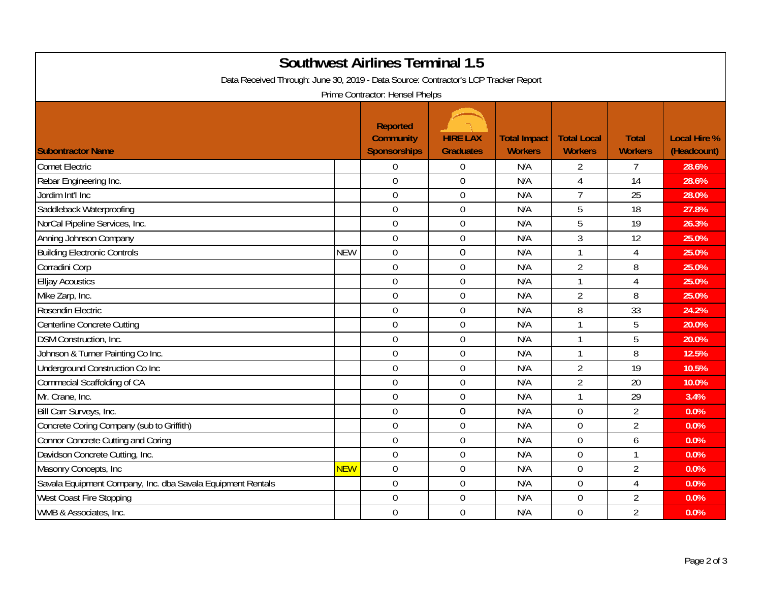| <b>Southwest Airlines Terminal 1.5</b>                                                                                 |            |                                                     |                                     |                                       |                                      |                                |                                    |  |  |
|------------------------------------------------------------------------------------------------------------------------|------------|-----------------------------------------------------|-------------------------------------|---------------------------------------|--------------------------------------|--------------------------------|------------------------------------|--|--|
| Data Received Through: June 30, 2019 - Data Source: Contractor's LCP Tracker Report<br>Prime Contractor: Hensel Phelps |            |                                                     |                                     |                                       |                                      |                                |                                    |  |  |
| <b>Subontractor Name</b>                                                                                               |            | <b>Reported</b><br><b>Community</b><br>Sponsorships | <b>HIRE LAX</b><br><b>Graduates</b> | <b>Total Impact</b><br><b>Workers</b> | <b>Total Local</b><br><b>Workers</b> | <b>Total</b><br><b>Workers</b> | <b>Local Hire %</b><br>(Headcount) |  |  |
| <b>Comet Electric</b>                                                                                                  |            | $\overline{0}$                                      | $\overline{0}$                      | N/A                                   | $\overline{2}$                       | $\overline{7}$                 | 28.6%                              |  |  |
| Rebar Engineering Inc.                                                                                                 |            | $\overline{0}$                                      | $\overline{0}$                      | N/A                                   | 4                                    | 14                             | 28.6%                              |  |  |
| Jordim Int'l Inc                                                                                                       |            | $\mathbf 0$                                         | $\boldsymbol{0}$                    | N/A                                   | $\overline{7}$                       | 25                             | 28.0%                              |  |  |
| Saddleback Waterproofing                                                                                               |            | $\overline{0}$                                      | $\mathbf 0$                         | N/A                                   | 5                                    | 18                             | 27.8%                              |  |  |
| NorCal Pipeline Services, Inc.                                                                                         |            | $\mathbf 0$                                         | $\overline{0}$                      | N/A                                   | 5                                    | 19                             | 26.3%                              |  |  |
| Anning Johnson Company                                                                                                 |            | $\overline{0}$                                      | $\mathbf 0$                         | N/A                                   | 3                                    | 12                             | 25.0%                              |  |  |
| <b>Building Electronic Controls</b>                                                                                    | <b>NEW</b> | $\mathbf 0$                                         | $\boldsymbol{0}$                    | N/A                                   |                                      | 4                              | 25.0%                              |  |  |
| Corradini Corp                                                                                                         |            | $\mathbf 0$                                         | $\mathbf 0$                         | N/A                                   | $\overline{2}$                       | 8                              | 25.0%                              |  |  |
| <b>Elljay Acoustics</b>                                                                                                |            | $\mathbf 0$                                         | $\mathbf 0$                         | N/A                                   | $\mathbf{1}$                         | $\overline{4}$                 | 25.0%                              |  |  |
| Mike Zarp, Inc.                                                                                                        |            | $\overline{0}$                                      | $\boldsymbol{0}$                    | N/A                                   | $\overline{2}$                       | 8                              | 25.0%                              |  |  |
| Rosendin Electric                                                                                                      |            | $\overline{0}$                                      | $\mathbf 0$                         | N/A                                   | 8                                    | 33                             | 24.2%                              |  |  |
| Centerline Concrete Cutting                                                                                            |            | $\mathbf 0$                                         | $\overline{0}$                      | N/A                                   | $\mathbf{1}$                         | 5                              | 20.0%                              |  |  |
| DSM Construction, Inc.                                                                                                 |            | $\overline{0}$                                      | $\mathbf 0$                         | N/A                                   | $\mathbf{1}$                         | 5                              | 20.0%                              |  |  |
| Johnson & Turner Painting Co Inc.                                                                                      |            | $\mathbf 0$                                         | $\boldsymbol{0}$                    | N/A                                   | $\mathbf 1$                          | 8                              | 12.5%                              |  |  |
| Underground Construction Co Inc                                                                                        |            | $\overline{0}$                                      | $\mathbf 0$                         | N/A                                   | $\overline{2}$                       | 19                             | 10.5%                              |  |  |
| Commecial Scaffolding of CA                                                                                            |            | $\overline{0}$                                      | $\mathbf 0$                         | N/A                                   | $\overline{2}$                       | 20                             | 10.0%                              |  |  |
| Mr. Crane, Inc.                                                                                                        |            | $\overline{0}$                                      | $\mathbf 0$                         | N/A                                   | $\mathbf 1$                          | 29                             | 3.4%                               |  |  |
| Bill Carr Surveys, Inc.                                                                                                |            | $\mathbf 0$                                         | $\boldsymbol{0}$                    | N/A                                   | $\overline{0}$                       | $\overline{2}$                 | 0.0%                               |  |  |
| Concrete Coring Company (sub to Griffith)                                                                              |            | $\mathbf 0$                                         | $\mathbf 0$                         | N/A                                   | $\overline{0}$                       | $\overline{2}$                 | 0.0%                               |  |  |
| Connor Concrete Cutting and Coring                                                                                     |            | $\mathbf 0$                                         | $\mathbf 0$                         | N/A                                   | $\overline{0}$                       | 6                              | 0.0%                               |  |  |
| Davidson Concrete Cutting, Inc.                                                                                        |            | $\mathbf 0$                                         | $\boldsymbol{0}$                    | N/A                                   | $\mathbf 0$                          | $\mathbf{1}$                   | 0.0%                               |  |  |
| Masonry Concepts, Inc                                                                                                  | <b>NEW</b> | $\overline{0}$                                      | $\mathbf 0$                         | N/A                                   | $\overline{0}$                       | $\overline{2}$                 | 0.0%                               |  |  |
| Savala Equipment Company, Inc. dba Savala Equipment Rentals                                                            |            | $\mathbf 0$                                         | $\overline{0}$                      | N/A                                   | $\overline{0}$                       | 4                              | 0.0%                               |  |  |
| West Coast Fire Stopping                                                                                               |            | $\overline{0}$                                      | $\mathbf 0$                         | N/A                                   | $\overline{0}$                       | $\overline{2}$                 | 0.0%                               |  |  |
| WMB & Associates, Inc.                                                                                                 |            | $\overline{0}$                                      | $\mathbf 0$                         | N/A                                   | $\overline{0}$                       | $\overline{2}$                 | 0.0%                               |  |  |